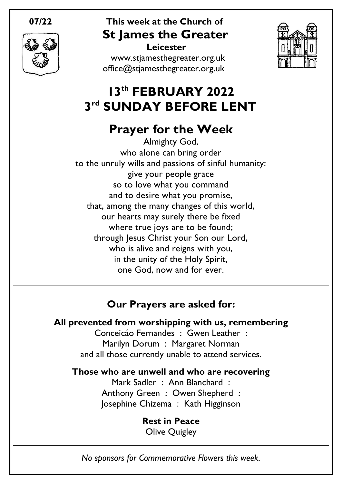

## **07/22 This week at the Church of St James the Greater Leicester**

[www.stjamesthegreater.org.uk](http://www.stjamesthegreater.org.uk/) [office@stjamesthegreater.org.uk](mailto:office@stjamesthegreater.org.uk)



# **13th FEBRUARY 2022 3 rd SUNDAY BEFORE LENT**

# **Prayer for the Week**

Almighty God, who alone can bring order to the unruly wills and passions of sinful humanity: give your people grace so to love what you command and to desire what you promise, that, among the many changes of this world, our hearts may surely there be fixed where true joys are to be found; through Jesus Christ your Son our Lord, who is alive and reigns with you, in the unity of the Holy Spirit, one God, now and for ever.

## **Our Prayers are asked for:**

## **All prevented from worshipping with us, remembering**

Conceicáo Fernandes : Gwen Leather : Marilyn Dorum : Margaret Norman and all those currently unable to attend services.

## **Those who are unwell and who are recovering**

Mark Sadler : Ann Blanchard : Anthony Green : Owen Shepherd : Josephine Chizema : Kath Higginson

> **Rest in Peace** Olive Quigley

*No sponsors for Commemorative Flowers this week.*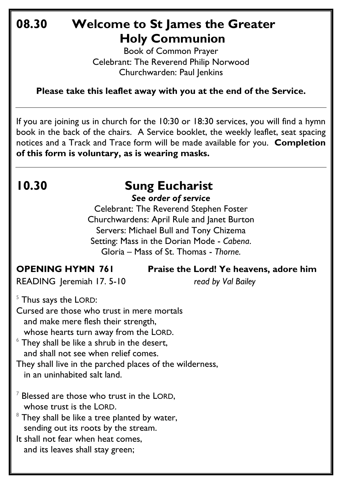## **08.30 Welcome to St James the Greater Holy Communion**

Book of Common Prayer Celebrant: The Reverend Philip Norwood Churchwarden: Paul Jenkins

**Please take this leaflet away with you at the end of the Service.**

If you are joining us in church for the 10:30 or 18:30 services, you will find a hymn book in the back of the chairs. A Service booklet, the weekly leaflet, seat spacing notices and a Track and Trace form will be made available for you. **Completion of this form is voluntary, as is wearing masks.**

# **10.30 Sung Eucharist**

*See order of service*

Celebrant: The Reverend Stephen Foster Churchwardens: April Rule and Janet Burton Servers: Michael Bull and Tony Chizema Setting: Mass in the Dorian Mode - *Cabena*. Gloria – Mass of St. Thomas - *Thorne.*

**OPENING HYMN 761 Praise the Lord! Ye heavens, adore him** 

READING Jeremiah 17. 5-10 *read by Val Bailey*

 $5$  Thus says the LORD:

Cursed are those who trust in mere mortals and make mere flesh their strength, whose hearts turn away from the LORD.

 $6$  They shall be like a shrub in the desert, and shall not see when relief comes.

They shall live in the parched places of the wilderness, in an uninhabited salt land.

- $7$  Blessed are those who trust in the LORD, whose trust is the LORD.
- $8$  They shall be like a tree planted by water, sending out its roots by the stream.

It shall not fear when heat comes, and its leaves shall stay green;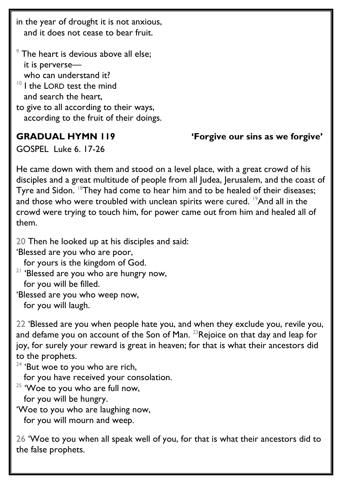in the year of drought it is not anxious, and it does not cease to bear fruit.

 $9$  The heart is devious above all else; it is perverse who can understand it?  $10$  I the LORD test the mind and search the heart, to give to all according to their ways, according to the fruit of their doings.

**GRADUAL HYMN 119 'Forgive our sins as we forgive'** 

GOSPEL Luke 6. 17-26

He came down with them and stood on a level place, with a great crowd of his disciples and a great multitude of people from all Judea, Jerusalem, and the coast of Tyre and Sidon. <sup>18</sup>They had come to hear him and to be healed of their diseases; and those who were troubled with unclean spirits were cured. <sup>19</sup>And all in the crowd were trying to touch him, for power came out from him and healed all of them.

20 Then he looked up at his disciples and said:

'Blessed are you who are poor,

for yours is the kingdom of God.

 $21$  'Blessed are you who are hungry now, for you will be filled.

'Blessed are you who weep now,

for you will laugh.

22 'Blessed are you when people hate you, and when they exclude you, revile you, and defame you on account of the Son of Man.  $23$ Rejoice on that day and leap for joy, for surely your reward is great in heaven; for that is what their ancestors did to the prophets.

 $24$  'But woe to you who are rich,

for you have received your consolation.

 $25$  'Woe to you who are full now,

for you will be hungry.

'Woe to you who are laughing now,

for you will mourn and weep.

26 'Woe to you when all speak well of you, for that is what their ancestors did to the false prophets.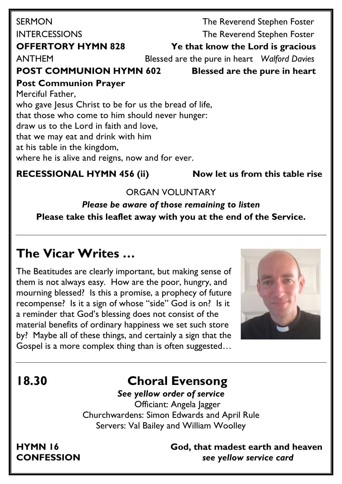| <b>SERMON</b>                                         |  | The Reverend Stephen Foster                  |  |
|-------------------------------------------------------|--|----------------------------------------------|--|
| <b>INTERCESSIONS</b>                                  |  | The Reverend Stephen Foster                  |  |
| <b>OFFERTORY HYMN 828</b>                             |  | Ye that know the Lord is gracious            |  |
| <b>ANTHEM</b>                                         |  | Blessed are the pure in heart Walford Davies |  |
| <b>POST COMMUNION HYMN 602</b>                        |  | <b>Blessed are the pure in heart</b>         |  |
| <b>Post Communion Prayer</b>                          |  |                                              |  |
| Merciful Father,                                      |  |                                              |  |
| who gave Jesus Christ to be for us the bread of life, |  |                                              |  |
| that those who come to him should never hunger:       |  |                                              |  |
| draw us to the Lord in faith and love,                |  |                                              |  |
| that we may eat and drink with him                    |  |                                              |  |
| at his table in the kingdom,                          |  |                                              |  |
| where he is alive and reigns, now and for ever.       |  |                                              |  |
|                                                       |  |                                              |  |

### **RECESSIONAL HYMN 456 (ii) Now let us from this table rise**

### ORGAN VOLUNTARY

*Please be aware of those remaining to listen* **Please take this leaflet away with you at the end of the Service.** 

## **The Vicar Writes …**

The Beatitudes are clearly important, but making sense of them is not always easy. How are the poor, hungry, and mourning blessed? Is this a promise, a prophecy of future recompense? Is it a sign of whose "side" God is on? Is it a reminder that God's blessing does not consist of the material benefits of ordinary happiness we set such store by? Maybe all of these things, and certainly a sign that the Gospel is a more complex thing than is often suggested…



## **18.30 Choral Evensong**

*See yellow order of service* Officiant: Angela Jagger Churchwardens: Simon Edwards and April Rule Servers: Val Bailey and William Woolley

**HYMN 16 God, that madest earth and heaven CONFESSION** *see yellow service card*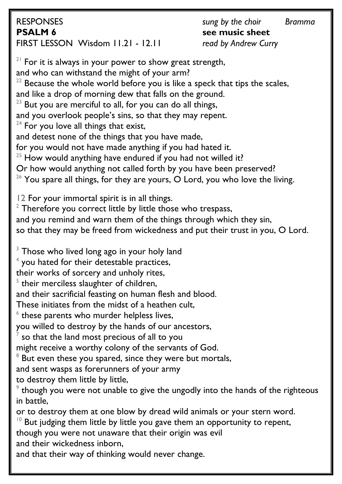RESPONSES *sung by the choir Bramma* **PSALM 6 see music sheet** FIRST LESSON Wisdom 11.21 - 12.11 *read by Andrew Curry*

 $21$  For it is always in your power to show great strength, and who can withstand the might of your arm?  $22$  Because the whole world before you is like a speck that tips the scales, and like a drop of morning dew that falls on the ground.  $23$  But you are merciful to all, for you can do all things, and you overlook people's sins, so that they may repent.  $24$  For you love all things that exist, and detest none of the things that you have made, for you would not have made anything if you had hated it.  $25$  How would anything have endured if you had not willed it? Or how would anything not called forth by you have been preserved?  $26$  You spare all things, for they are yours, O Lord, you who love the living. 12 For your immortal spirit is in all things.  $2$  Therefore you correct little by little those who trespass, and you remind and warn them of the things through which they sin, so that they may be freed from wickedness and put their trust in you, O Lord.  $3$  Those who lived long ago in your holy land  $^4$  you hated for their detestable practices, their works of sorcery and unholy rites,  $5$  their merciless slaughter of children, and their sacrificial feasting on human flesh and blood. These initiates from the midst of a heathen cult,  $6$  these parents who murder helpless lives, you willed to destroy by the hands of our ancestors,  $^7$  so that the land most precious of all to you might receive a worthy colony of the servants of God.  $8$  But even these you spared, since they were but mortals, and sent wasps as forerunners of your army to destroy them little by little,  $9$  though you were not unable to give the ungodly into the hands of the righteous in battle, or to destroy them at one blow by dread wild animals or your stern word. But judging them little by little you gave them an opportunity to repent, though you were not unaware that their origin was evil

and their wickedness inborn,

and that their way of thinking would never change.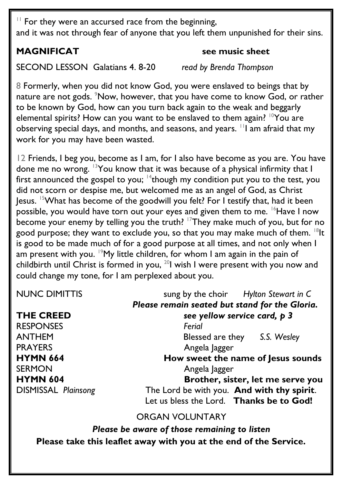$11$  For they were an accursed race from the beginning, and it was not through fear of anyone that you left them unpunished for their sins.

### **MAGNIFICAT** see music sheet

SECOND LESSON Galatians 4. 8-20 *read by Brenda Thompson*

8 Formerly, when you did not know God, you were enslaved to beings that by nature are not gods. <sup>9</sup>Now, however, that you have come to know God, or rather to be known by God, how can you turn back again to the weak and beggarly elemental spirits? How can you want to be enslaved to them again?  $10$ You are observing special days, and months, and seasons, and years. <sup>11</sup>I am afraid that my work for you may have been wasted.

12 Friends, I beg you, become as I am, for I also have become as you are. You have done me no wrong. <sup>13</sup>You know that it was because of a physical infirmity that I first announced the gospel to you;  $14$  though my condition put you to the test, you did not scorn or despise me, but welcomed me as an angel of God, as Christ Jesus. <sup>15</sup>What has become of the goodwill you felt? For I testify that, had it been possible, you would have torn out your eyes and given them to me. <sup>16</sup>Have I now become your enemy by telling you the truth?  $17$ They make much of you, but for no good purpose; they want to exclude you, so that you may make much of them. <sup>18</sup>It is good to be made much of for a good purpose at all times, and not only when I am present with you. <sup>19</sup>My little children, for whom I am again in the pain of childbirth until Christ is formed in you, <sup>20</sup>l wish I were present with you now and could change my tone, for I am perplexed about you.

| <b>NUNC DIMITTIS</b>       | sung by the choir Hylton Stewart in C          |
|----------------------------|------------------------------------------------|
|                            | Please remain seated but stand for the Gloria. |
| <b>THE CREED</b>           | see yellow service card, p 3                   |
| <b>RESPONSES</b>           | Ferial                                         |
| <b>ANTHEM</b>              | Blessed are they S.S. Wesley                   |
| <b>PRAYERS</b>             | Angela Jagger                                  |
| <b>HYMN 664</b>            | How sweet the name of Jesus sounds             |
| <b>SERMON</b>              | Angela Jagger                                  |
| <b>HYMN 604</b>            | Brother, sister, let me serve you              |
| <b>DISMISSAL Plainsong</b> | The Lord be with you. And with thy spirit.     |
|                            | Let us bless the Lord. Thanks be to God!       |

ORGAN VOLUNTARY

*Please be aware of those remaining to listen* **Please take this leaflet away with you at the end of the Service.**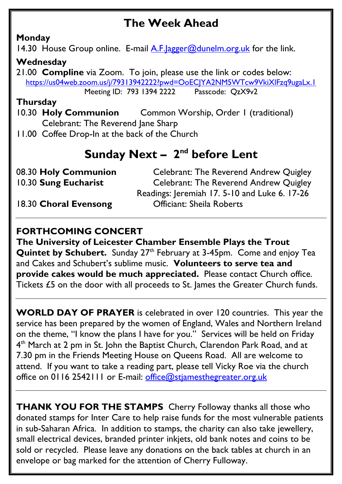## **The Week Ahead**

## **Monday**

14.30 House Group online. E-mail A.F. agger@dunelm.org.uk for the link.

### **Wednesday**

21.00 **Compline** via Zoom. To join, please use the link or codes below: <https://us04web.zoom.us/j/79313942222?pwd=OoECJYA2NM5WTcw9VkiXlFzq9ugaLx.1> Meeting ID: 793 1394 2222 Passcode: QzX9v2

### **Thursday**

- 10.30 **Holy Communion** Common Worship, Order 1 (traditional) Celebrant: The Reverend Jane Sharp
- 11.00 Coffee Drop-In at the back of the Church

## **Sunday Next - 2<sup>nd</sup> before Lent**

| 08.30 Holy Communion  | Celebrant: The Reverend Andrew Quigley      |
|-----------------------|---------------------------------------------|
| 10.30 Sung Eucharist  | Celebrant: The Reverend Andrew Quigley      |
|                       | Readings: Jeremiah 17.5-10 and Luke 6.17-26 |
| 18.30 Choral Evensong | <b>Officiant: Sheila Roberts</b>            |

## **FORTHCOMING CONCERT**

**The University of Leicester Chamber Ensemble Plays the Trout Quintet by Schubert.** Sunday 27<sup>th</sup> February at 3-45pm. Come and enjoy Tea and Cakes and Schubert's sublime music. **Volunteers to serve tea and provide cakes would be much appreciated.** Please contact Church office. Tickets £5 on the door with all proceeds to St. James the Greater Church funds.

**WORLD DAY OF PRAYER** is celebrated in over 120 countries. This year the service has been prepared by the women of England, Wales and Northern Ireland on the theme, "I know the plans I have for you." Services will be held on Friday 4<sup>th</sup> March at 2 pm in St. John the Baptist Church, Clarendon Park Road, and at 7.30 pm in the Friends Meeting House on Queens Road. All are welcome to attend. If you want to take a reading part, please tell Vicky Roe via the church office on 0116 2542111 or E-mail: [office@stjamesthegreater.org.uk](mailto:office@stjamesthegreater.org.uk)

**THANK YOU FOR THE STAMPS** Cherry Followay thanks all those who donated stamps for Inter Care to help raise funds for the most vulnerable patients in sub-Saharan Africa. In addition to stamps, the charity can also take jewellery, small electrical devices, branded printer inkjets, old bank notes and coins to be sold or recycled. Please leave any donations on the back tables at church in an envelope or bag marked for the attention of Cherry Fulloway.